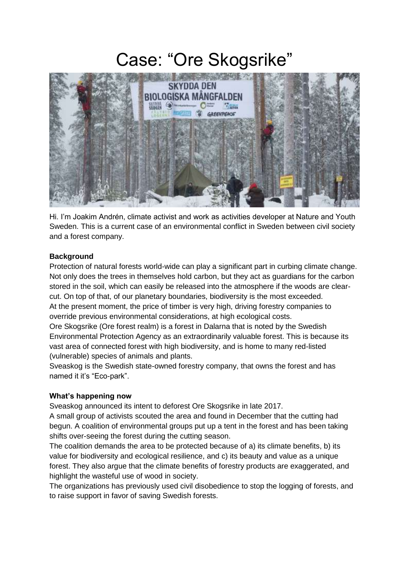## Case: "Ore Skogsrike"



Hi. I'm Joakim Andrén, climate activist and work as activities developer at Nature and Youth Sweden. This is a current case of an environmental conflict in Sweden between civil society and a forest company.

## **Background**

Protection of natural forests world-wide can play a significant part in curbing climate change. Not only does the trees in themselves hold carbon, but they act as guardians for the carbon stored in the soil, which can easily be released into the atmosphere if the woods are clearcut. On top of that, of our planetary boundaries, biodiversity is the most exceeded. At the present moment, the price of timber is very high, driving forestry companies to override previous environmental considerations, at high ecological costs.

Ore Skogsrike (Ore forest realm) is a forest in Dalarna that is noted by the Swedish Environmental Protection Agency as an extraordinarily valuable forest. This is because its vast area of connected forest with high biodiversity, and is home to many red-listed (vulnerable) species of animals and plants.

Sveaskog is the Swedish state-owned forestry company, that owns the forest and has named it it's "Eco-park".

## **What's happening now**

Sveaskog announced its intent to deforest Ore Skogsrike in late 2017.

A small group of activists scouted the area and found in December that the cutting had begun. A coalition of environmental groups put up a tent in the forest and has been taking shifts over-seeing the forest during the cutting season.

The coalition demands the area to be protected because of a) its climate benefits, b) its value for biodiversity and ecological resilience, and c) its beauty and value as a unique forest. They also argue that the climate benefits of forestry products are exaggerated, and highlight the wasteful use of wood in society.

The organizations has previously used civil disobedience to stop the logging of forests, and to raise support in favor of saving Swedish forests.